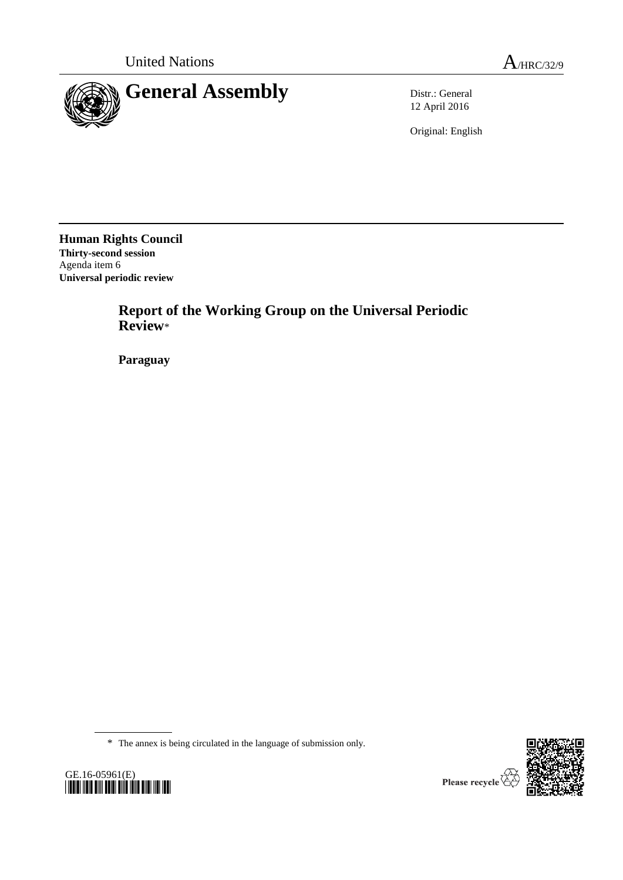

12 April 2016

Original: English

**Human Rights Council Thirty-second session** Agenda item 6 **Universal periodic review**

> **Report of the Working Group on the Universal Periodic Review**\*

**Paraguay**

\* The annex is being circulated in the language of submission only.



Please recycle  $\overline{\mathbf{\langle}}$ 

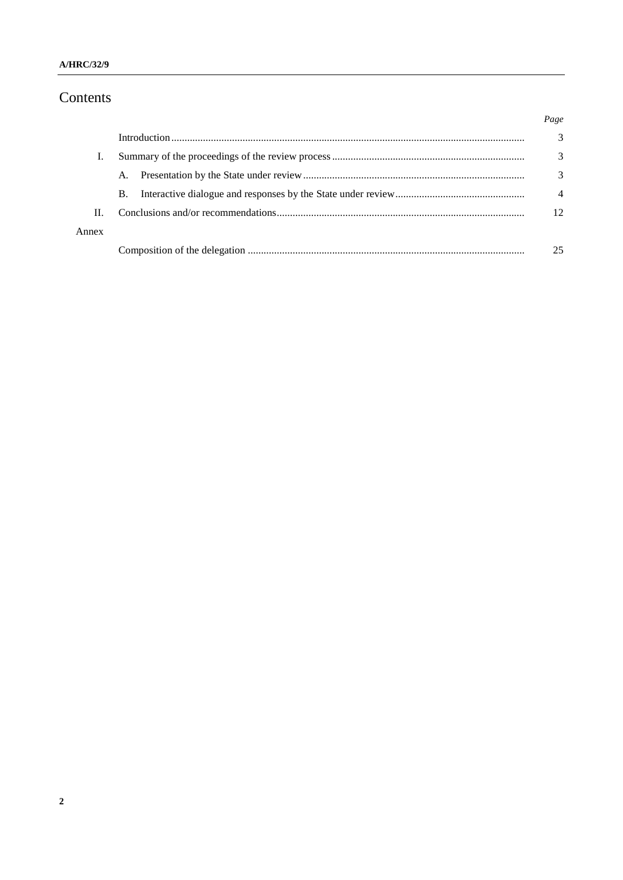# Contents

|       |           | Page           |
|-------|-----------|----------------|
|       |           | 3              |
|       |           | 3              |
|       | A.        | 3              |
|       | <b>B.</b> | $\overline{4}$ |
| Н.    |           | 12             |
| Annex |           |                |
|       |           | 25             |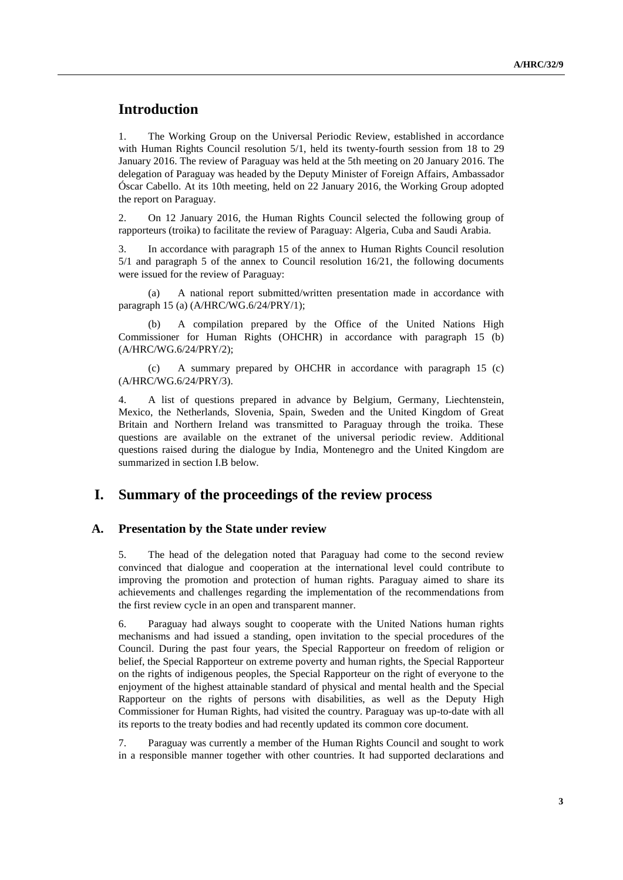# **Introduction**

1. The Working Group on the Universal Periodic Review, established in accordance with Human Rights Council resolution 5/1, held its twenty-fourth session from 18 to 29 January 2016. The review of Paraguay was held at the 5th meeting on 20 January 2016. The delegation of Paraguay was headed by the Deputy Minister of Foreign Affairs, Ambassador Óscar Cabello. At its 10th meeting, held on 22 January 2016, the Working Group adopted the report on Paraguay.

2. On 12 January 2016, the Human Rights Council selected the following group of rapporteurs (troika) to facilitate the review of Paraguay: Algeria, Cuba and Saudi Arabia.

3. In accordance with paragraph 15 of the annex to Human Rights Council resolution 5/1 and paragraph 5 of the annex to Council resolution 16/21, the following documents were issued for the review of Paraguay:

(a) A national report submitted/written presentation made in accordance with paragraph 15 (a) (A/HRC/WG.6/24/PRY/1);

(b) A compilation prepared by the Office of the United Nations High Commissioner for Human Rights (OHCHR) in accordance with paragraph 15 (b) (A/HRC/WG.6/24/PRY/2);

(c) A summary prepared by OHCHR in accordance with paragraph 15 (c) (A/HRC/WG.6/24/PRY/3).

4. A list of questions prepared in advance by Belgium, Germany, Liechtenstein, Mexico, the Netherlands, Slovenia, Spain, Sweden and the United Kingdom of Great Britain and Northern Ireland was transmitted to Paraguay through the troika. These questions are available on the extranet of the universal periodic review. Additional questions raised during the dialogue by India, Montenegro and the United Kingdom are summarized in section I.B below.

## **I. Summary of the proceedings of the review process**

#### **A. Presentation by the State under review**

5. The head of the delegation noted that Paraguay had come to the second review convinced that dialogue and cooperation at the international level could contribute to improving the promotion and protection of human rights. Paraguay aimed to share its achievements and challenges regarding the implementation of the recommendations from the first review cycle in an open and transparent manner.

6. Paraguay had always sought to cooperate with the United Nations human rights mechanisms and had issued a standing, open invitation to the special procedures of the Council. During the past four years, the Special Rapporteur on freedom of religion or belief, the Special Rapporteur on extreme poverty and human rights, the Special Rapporteur on the rights of indigenous peoples, the Special Rapporteur on the right of everyone to the enjoyment of the highest attainable standard of physical and mental health and the Special Rapporteur on the rights of persons with disabilities, as well as the Deputy High Commissioner for Human Rights, had visited the country. Paraguay was up-to-date with all its reports to the treaty bodies and had recently updated its common core document.

7. Paraguay was currently a member of the Human Rights Council and sought to work in a responsible manner together with other countries. It had supported declarations and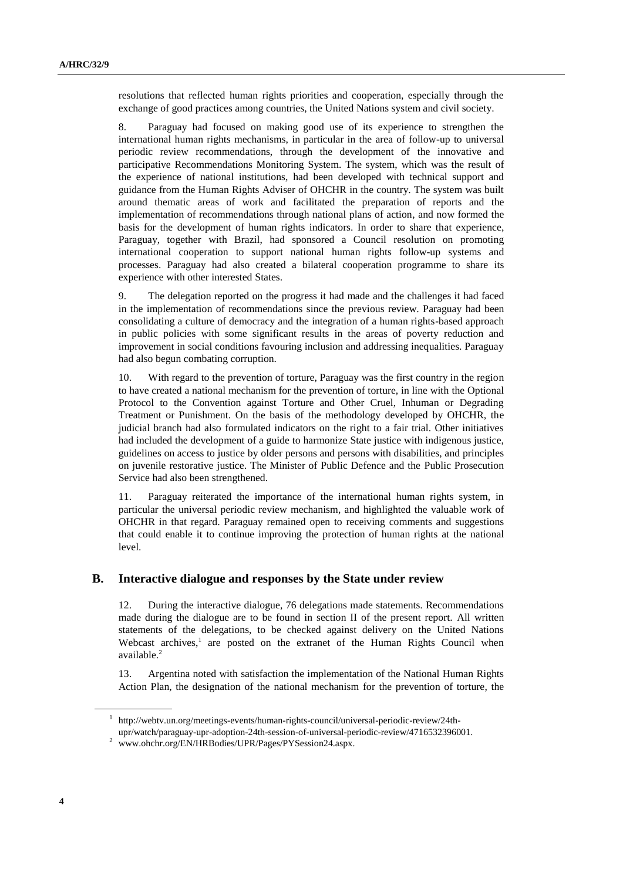resolutions that reflected human rights priorities and cooperation, especially through the exchange of good practices among countries, the United Nations system and civil society.

8. Paraguay had focused on making good use of its experience to strengthen the international human rights mechanisms, in particular in the area of follow-up to universal periodic review recommendations, through the development of the innovative and participative Recommendations Monitoring System. The system, which was the result of the experience of national institutions, had been developed with technical support and guidance from the Human Rights Adviser of OHCHR in the country. The system was built around thematic areas of work and facilitated the preparation of reports and the implementation of recommendations through national plans of action, and now formed the basis for the development of human rights indicators. In order to share that experience, Paraguay, together with Brazil, had sponsored a Council resolution on promoting international cooperation to support national human rights follow-up systems and processes. Paraguay had also created a bilateral cooperation programme to share its experience with other interested States.

9. The delegation reported on the progress it had made and the challenges it had faced in the implementation of recommendations since the previous review. Paraguay had been consolidating a culture of democracy and the integration of a human rights-based approach in public policies with some significant results in the areas of poverty reduction and improvement in social conditions favouring inclusion and addressing inequalities. Paraguay had also begun combating corruption.

10. With regard to the prevention of torture, Paraguay was the first country in the region to have created a national mechanism for the prevention of torture, in line with the Optional Protocol to the Convention against Torture and Other Cruel, Inhuman or Degrading Treatment or Punishment. On the basis of the methodology developed by OHCHR, the judicial branch had also formulated indicators on the right to a fair trial. Other initiatives had included the development of a guide to harmonize State justice with indigenous justice, guidelines on access to justice by older persons and persons with disabilities, and principles on juvenile restorative justice. The Minister of Public Defence and the Public Prosecution Service had also been strengthened.

11. Paraguay reiterated the importance of the international human rights system, in particular the universal periodic review mechanism, and highlighted the valuable work of OHCHR in that regard. Paraguay remained open to receiving comments and suggestions that could enable it to continue improving the protection of human rights at the national level.

### **B. Interactive dialogue and responses by the State under review**

12. During the interactive dialogue, 76 delegations made statements. Recommendations made during the dialogue are to be found in section II of the present report. All written statements of the delegations, to be checked against delivery on the United Nations Webcast archives,<sup>1</sup> are posted on the extranet of the Human Rights Council when available.<sup>2</sup>

13. Argentina noted with satisfaction the implementation of the National Human Rights Action Plan, the designation of the national mechanism for the prevention of torture, the

<sup>1</sup> http://webtv.un.org/meetings-events/human-rights-council/universal-periodic-review/24th-

upr/watch/paraguay-upr-adoption-24th-session-of-universal-periodic-review/4716532396001.

<sup>2</sup> www.ohchr.org/EN/HRBodies/UPR/Pages/PYSession24.aspx.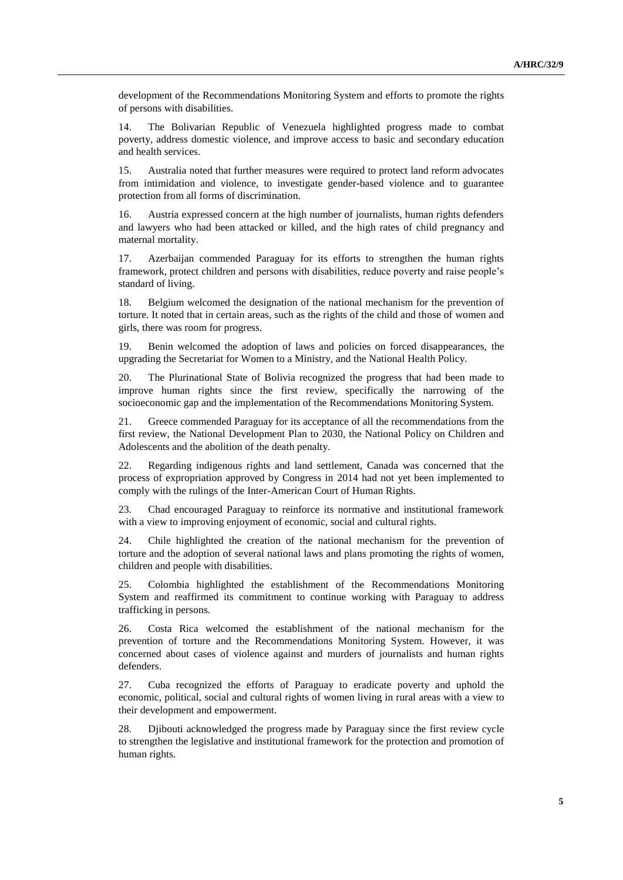development of the Recommendations Monitoring System and efforts to promote the rights of persons with disabilities.

14. The Bolivarian Republic of Venezuela highlighted progress made to combat poverty, address domestic violence, and improve access to basic and secondary education and health services.

15. Australia noted that further measures were required to protect land reform advocates from intimidation and violence, to investigate gender-based violence and to guarantee protection from all forms of discrimination.

16. Austria expressed concern at the high number of journalists, human rights defenders and lawyers who had been attacked or killed, and the high rates of child pregnancy and maternal mortality.

17. Azerbaijan commended Paraguay for its efforts to strengthen the human rights framework, protect children and persons with disabilities, reduce poverty and raise people's standard of living.

18. Belgium welcomed the designation of the national mechanism for the prevention of torture. It noted that in certain areas, such as the rights of the child and those of women and girls, there was room for progress.

19. Benin welcomed the adoption of laws and policies on forced disappearances, the upgrading the Secretariat for Women to a Ministry, and the National Health Policy.

20. The Plurinational State of Bolivia recognized the progress that had been made to improve human rights since the first review, specifically the narrowing of the socioeconomic gap and the implementation of the Recommendations Monitoring System.

21. Greece commended Paraguay for its acceptance of all the recommendations from the first review, the National Development Plan to 2030, the National Policy on Children and Adolescents and the abolition of the death penalty.

22. Regarding indigenous rights and land settlement, Canada was concerned that the process of expropriation approved by Congress in 2014 had not yet been implemented to comply with the rulings of the Inter-American Court of Human Rights.

23. Chad encouraged Paraguay to reinforce its normative and institutional framework with a view to improving enjoyment of economic, social and cultural rights.

24. Chile highlighted the creation of the national mechanism for the prevention of torture and the adoption of several national laws and plans promoting the rights of women, children and people with disabilities.

25. Colombia highlighted the establishment of the Recommendations Monitoring System and reaffirmed its commitment to continue working with Paraguay to address trafficking in persons.

26. Costa Rica welcomed the establishment of the national mechanism for the prevention of torture and the Recommendations Monitoring System. However, it was concerned about cases of violence against and murders of journalists and human rights defenders.

27. Cuba recognized the efforts of Paraguay to eradicate poverty and uphold the economic, political, social and cultural rights of women living in rural areas with a view to their development and empowerment.

28. Djibouti acknowledged the progress made by Paraguay since the first review cycle to strengthen the legislative and institutional framework for the protection and promotion of human rights.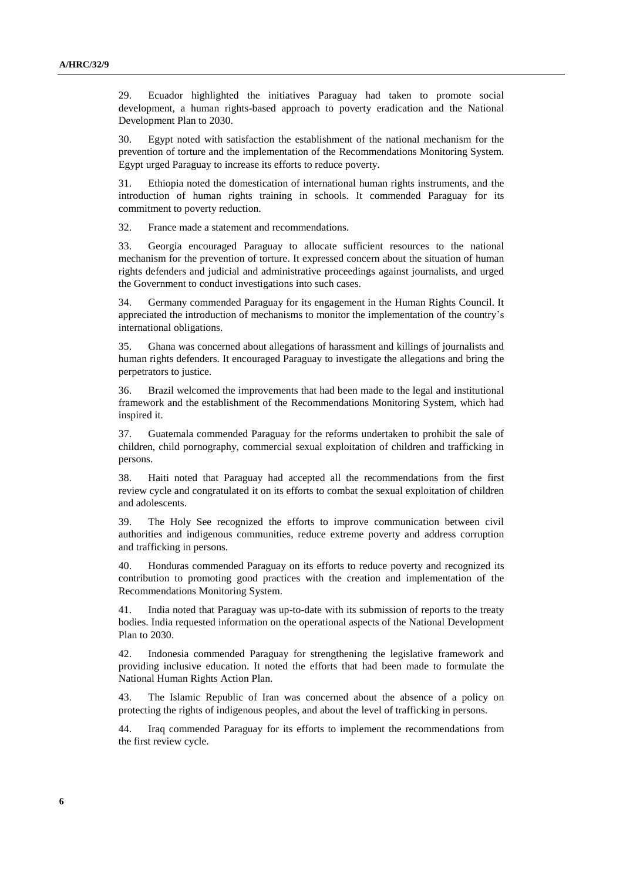29. Ecuador highlighted the initiatives Paraguay had taken to promote social development, a human rights-based approach to poverty eradication and the National Development Plan to 2030.

30. Egypt noted with satisfaction the establishment of the national mechanism for the prevention of torture and the implementation of the Recommendations Monitoring System. Egypt urged Paraguay to increase its efforts to reduce poverty.

31. Ethiopia noted the domestication of international human rights instruments, and the introduction of human rights training in schools. It commended Paraguay for its commitment to poverty reduction.

32. France made a statement and recommendations.

33. Georgia encouraged Paraguay to allocate sufficient resources to the national mechanism for the prevention of torture. It expressed concern about the situation of human rights defenders and judicial and administrative proceedings against journalists, and urged the Government to conduct investigations into such cases.

34. Germany commended Paraguay for its engagement in the Human Rights Council. It appreciated the introduction of mechanisms to monitor the implementation of the country's international obligations.

35. Ghana was concerned about allegations of harassment and killings of journalists and human rights defenders. It encouraged Paraguay to investigate the allegations and bring the perpetrators to justice.

36. Brazil welcomed the improvements that had been made to the legal and institutional framework and the establishment of the Recommendations Monitoring System, which had inspired it.

37. Guatemala commended Paraguay for the reforms undertaken to prohibit the sale of children, child pornography, commercial sexual exploitation of children and trafficking in persons.

38. Haiti noted that Paraguay had accepted all the recommendations from the first review cycle and congratulated it on its efforts to combat the sexual exploitation of children and adolescents.

39. The Holy See recognized the efforts to improve communication between civil authorities and indigenous communities, reduce extreme poverty and address corruption and trafficking in persons.

40. Honduras commended Paraguay on its efforts to reduce poverty and recognized its contribution to promoting good practices with the creation and implementation of the Recommendations Monitoring System.

41. India noted that Paraguay was up-to-date with its submission of reports to the treaty bodies. India requested information on the operational aspects of the National Development Plan to 2030.

42. Indonesia commended Paraguay for strengthening the legislative framework and providing inclusive education. It noted the efforts that had been made to formulate the National Human Rights Action Plan.

43. The Islamic Republic of Iran was concerned about the absence of a policy on protecting the rights of indigenous peoples, and about the level of trafficking in persons.

44. Iraq commended Paraguay for its efforts to implement the recommendations from the first review cycle.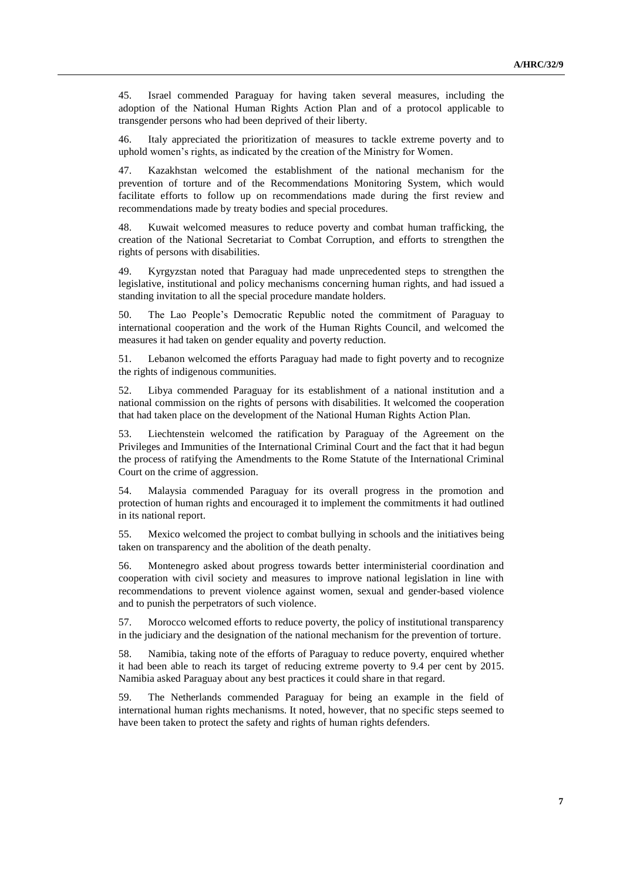45. Israel commended Paraguay for having taken several measures, including the adoption of the National Human Rights Action Plan and of a protocol applicable to transgender persons who had been deprived of their liberty.

46. Italy appreciated the prioritization of measures to tackle extreme poverty and to uphold women's rights, as indicated by the creation of the Ministry for Women.

47. Kazakhstan welcomed the establishment of the national mechanism for the prevention of torture and of the Recommendations Monitoring System, which would facilitate efforts to follow up on recommendations made during the first review and recommendations made by treaty bodies and special procedures.

48. Kuwait welcomed measures to reduce poverty and combat human trafficking, the creation of the National Secretariat to Combat Corruption, and efforts to strengthen the rights of persons with disabilities.

49. Kyrgyzstan noted that Paraguay had made unprecedented steps to strengthen the legislative, institutional and policy mechanisms concerning human rights, and had issued a standing invitation to all the special procedure mandate holders.

50. The Lao People's Democratic Republic noted the commitment of Paraguay to international cooperation and the work of the Human Rights Council, and welcomed the measures it had taken on gender equality and poverty reduction.

51. Lebanon welcomed the efforts Paraguay had made to fight poverty and to recognize the rights of indigenous communities.

52. Libya commended Paraguay for its establishment of a national institution and a national commission on the rights of persons with disabilities. It welcomed the cooperation that had taken place on the development of the National Human Rights Action Plan.

53. Liechtenstein welcomed the ratification by Paraguay of the Agreement on the Privileges and Immunities of the International Criminal Court and the fact that it had begun the process of ratifying the Amendments to the Rome Statute of the International Criminal Court on the crime of aggression.

54. Malaysia commended Paraguay for its overall progress in the promotion and protection of human rights and encouraged it to implement the commitments it had outlined in its national report.

55. Mexico welcomed the project to combat bullying in schools and the initiatives being taken on transparency and the abolition of the death penalty.

56. Montenegro asked about progress towards better interministerial coordination and cooperation with civil society and measures to improve national legislation in line with recommendations to prevent violence against women, sexual and gender-based violence and to punish the perpetrators of such violence.

57. Morocco welcomed efforts to reduce poverty, the policy of institutional transparency in the judiciary and the designation of the national mechanism for the prevention of torture.

58. Namibia, taking note of the efforts of Paraguay to reduce poverty, enquired whether it had been able to reach its target of reducing extreme poverty to 9.4 per cent by 2015. Namibia asked Paraguay about any best practices it could share in that regard.

59. The Netherlands commended Paraguay for being an example in the field of international human rights mechanisms. It noted, however, that no specific steps seemed to have been taken to protect the safety and rights of human rights defenders.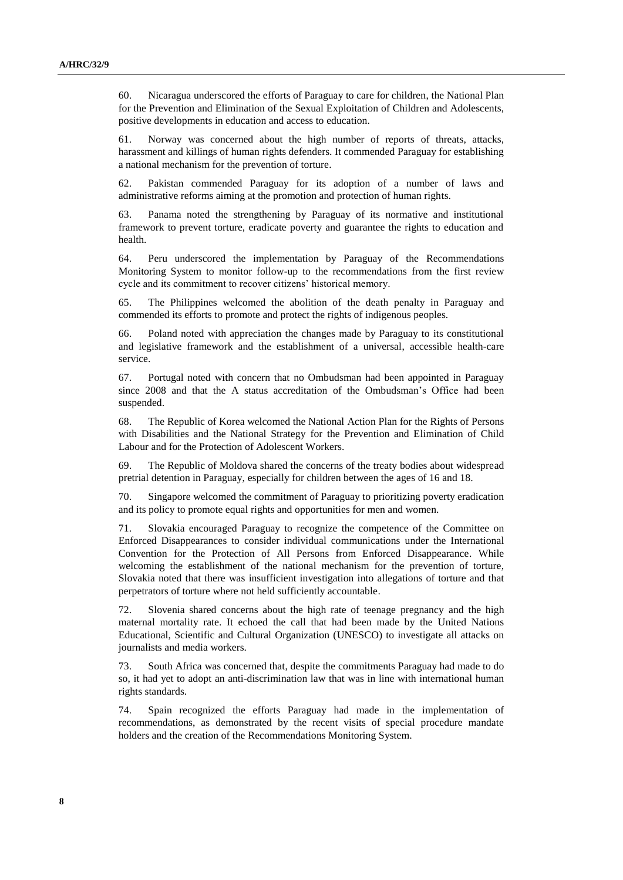60. Nicaragua underscored the efforts of Paraguay to care for children, the National Plan for the Prevention and Elimination of the Sexual Exploitation of Children and Adolescents, positive developments in education and access to education.

61. Norway was concerned about the high number of reports of threats, attacks, harassment and killings of human rights defenders. It commended Paraguay for establishing a national mechanism for the prevention of torture.

62. Pakistan commended Paraguay for its adoption of a number of laws and administrative reforms aiming at the promotion and protection of human rights.

63. Panama noted the strengthening by Paraguay of its normative and institutional framework to prevent torture, eradicate poverty and guarantee the rights to education and health.

64. Peru underscored the implementation by Paraguay of the Recommendations Monitoring System to monitor follow-up to the recommendations from the first review cycle and its commitment to recover citizens' historical memory.

65. The Philippines welcomed the abolition of the death penalty in Paraguay and commended its efforts to promote and protect the rights of indigenous peoples.

66. Poland noted with appreciation the changes made by Paraguay to its constitutional and legislative framework and the establishment of a universal, accessible health-care service.

67. Portugal noted with concern that no Ombudsman had been appointed in Paraguay since 2008 and that the A status accreditation of the Ombudsman's Office had been suspended.

68. The Republic of Korea welcomed the National Action Plan for the Rights of Persons with Disabilities and the National Strategy for the Prevention and Elimination of Child Labour and for the Protection of Adolescent Workers.

69. The Republic of Moldova shared the concerns of the treaty bodies about widespread pretrial detention in Paraguay, especially for children between the ages of 16 and 18.

70. Singapore welcomed the commitment of Paraguay to prioritizing poverty eradication and its policy to promote equal rights and opportunities for men and women.

71. Slovakia encouraged Paraguay to recognize the competence of the Committee on Enforced Disappearances to consider individual communications under the International Convention for the Protection of All Persons from Enforced Disappearance. While welcoming the establishment of the national mechanism for the prevention of torture, Slovakia noted that there was insufficient investigation into allegations of torture and that perpetrators of torture where not held sufficiently accountable.

72. Slovenia shared concerns about the high rate of teenage pregnancy and the high maternal mortality rate. It echoed the call that had been made by the United Nations Educational, Scientific and Cultural Organization (UNESCO) to investigate all attacks on journalists and media workers.

73. South Africa was concerned that, despite the commitments Paraguay had made to do so, it had yet to adopt an anti-discrimination law that was in line with international human rights standards.

74. Spain recognized the efforts Paraguay had made in the implementation of recommendations, as demonstrated by the recent visits of special procedure mandate holders and the creation of the Recommendations Monitoring System.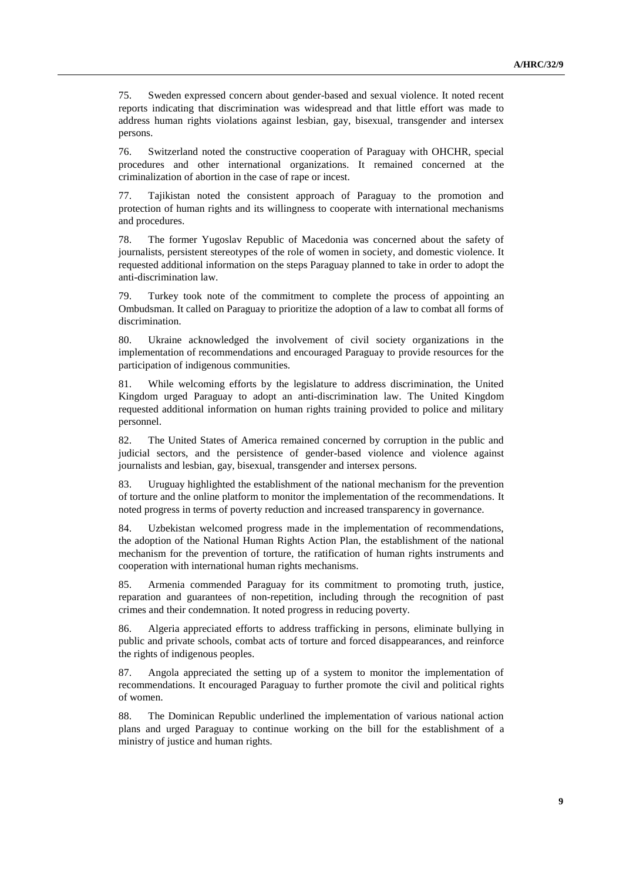75. Sweden expressed concern about gender-based and sexual violence. It noted recent reports indicating that discrimination was widespread and that little effort was made to address human rights violations against lesbian, gay, bisexual, transgender and intersex persons.

76. Switzerland noted the constructive cooperation of Paraguay with OHCHR, special procedures and other international organizations. It remained concerned at the criminalization of abortion in the case of rape or incest.

77. Tajikistan noted the consistent approach of Paraguay to the promotion and protection of human rights and its willingness to cooperate with international mechanisms and procedures.

78. The former Yugoslav Republic of Macedonia was concerned about the safety of journalists, persistent stereotypes of the role of women in society, and domestic violence. It requested additional information on the steps Paraguay planned to take in order to adopt the anti-discrimination law.

79. Turkey took note of the commitment to complete the process of appointing an Ombudsman. It called on Paraguay to prioritize the adoption of a law to combat all forms of discrimination.

80. Ukraine acknowledged the involvement of civil society organizations in the implementation of recommendations and encouraged Paraguay to provide resources for the participation of indigenous communities.

81. While welcoming efforts by the legislature to address discrimination, the United Kingdom urged Paraguay to adopt an anti-discrimination law. The United Kingdom requested additional information on human rights training provided to police and military personnel.

82. The United States of America remained concerned by corruption in the public and judicial sectors, and the persistence of gender-based violence and violence against journalists and lesbian, gay, bisexual, transgender and intersex persons.

83. Uruguay highlighted the establishment of the national mechanism for the prevention of torture and the online platform to monitor the implementation of the recommendations. It noted progress in terms of poverty reduction and increased transparency in governance.

84. Uzbekistan welcomed progress made in the implementation of recommendations, the adoption of the National Human Rights Action Plan, the establishment of the national mechanism for the prevention of torture, the ratification of human rights instruments and cooperation with international human rights mechanisms.

85. Armenia commended Paraguay for its commitment to promoting truth, justice, reparation and guarantees of non-repetition, including through the recognition of past crimes and their condemnation. It noted progress in reducing poverty.

86. Algeria appreciated efforts to address trafficking in persons, eliminate bullying in public and private schools, combat acts of torture and forced disappearances, and reinforce the rights of indigenous peoples.

87. Angola appreciated the setting up of a system to monitor the implementation of recommendations. It encouraged Paraguay to further promote the civil and political rights of women.

88. The Dominican Republic underlined the implementation of various national action plans and urged Paraguay to continue working on the bill for the establishment of a ministry of justice and human rights.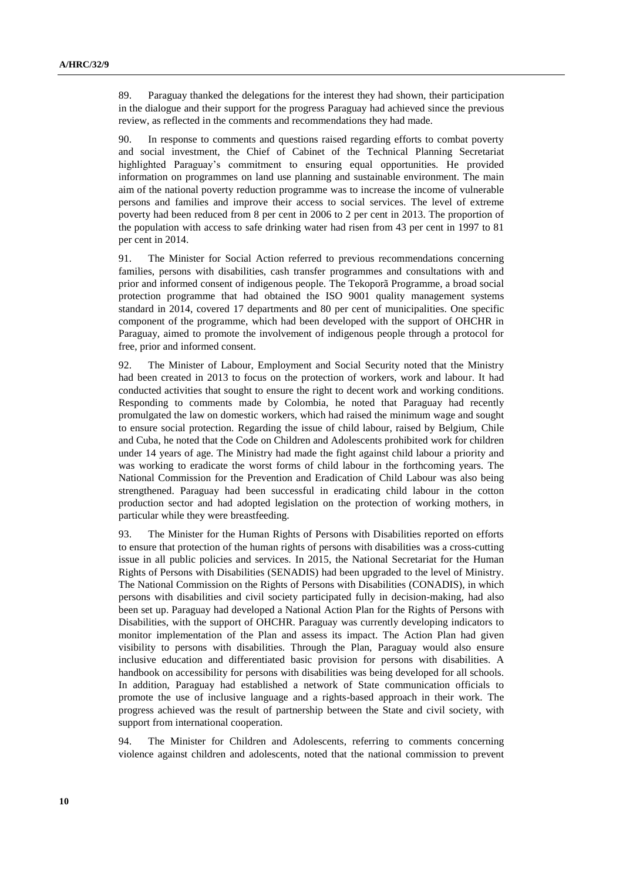89. Paraguay thanked the delegations for the interest they had shown, their participation in the dialogue and their support for the progress Paraguay had achieved since the previous review, as reflected in the comments and recommendations they had made.

90. In response to comments and questions raised regarding efforts to combat poverty and social investment, the Chief of Cabinet of the Technical Planning Secretariat highlighted Paraguay's commitment to ensuring equal opportunities. He provided information on programmes on land use planning and sustainable environment. The main aim of the national poverty reduction programme was to increase the income of vulnerable persons and families and improve their access to social services. The level of extreme poverty had been reduced from 8 per cent in 2006 to 2 per cent in 2013. The proportion of the population with access to safe drinking water had risen from 43 per cent in 1997 to 81 per cent in 2014.

91. The Minister for Social Action referred to previous recommendations concerning families, persons with disabilities, cash transfer programmes and consultations with and prior and informed consent of indigenous people. The Tekoporã Programme, a broad social protection programme that had obtained the ISO 9001 quality management systems standard in 2014, covered 17 departments and 80 per cent of municipalities. One specific component of the programme, which had been developed with the support of OHCHR in Paraguay, aimed to promote the involvement of indigenous people through a protocol for free, prior and informed consent.

92. The Minister of Labour, Employment and Social Security noted that the Ministry had been created in 2013 to focus on the protection of workers, work and labour. It had conducted activities that sought to ensure the right to decent work and working conditions. Responding to comments made by Colombia, he noted that Paraguay had recently promulgated the law on domestic workers, which had raised the minimum wage and sought to ensure social protection. Regarding the issue of child labour, raised by Belgium, Chile and Cuba, he noted that the Code on Children and Adolescents prohibited work for children under 14 years of age. The Ministry had made the fight against child labour a priority and was working to eradicate the worst forms of child labour in the forthcoming years. The National Commission for the Prevention and Eradication of Child Labour was also being strengthened. Paraguay had been successful in eradicating child labour in the cotton production sector and had adopted legislation on the protection of working mothers, in particular while they were breastfeeding.

93. The Minister for the Human Rights of Persons with Disabilities reported on efforts to ensure that protection of the human rights of persons with disabilities was a cross-cutting issue in all public policies and services. In 2015, the National Secretariat for the Human Rights of Persons with Disabilities (SENADIS) had been upgraded to the level of Ministry. The National Commission on the Rights of Persons with Disabilities (CONADIS), in which persons with disabilities and civil society participated fully in decision-making, had also been set up. Paraguay had developed a National Action Plan for the Rights of Persons with Disabilities, with the support of OHCHR. Paraguay was currently developing indicators to monitor implementation of the Plan and assess its impact. The Action Plan had given visibility to persons with disabilities. Through the Plan, Paraguay would also ensure inclusive education and differentiated basic provision for persons with disabilities. A handbook on accessibility for persons with disabilities was being developed for all schools. In addition, Paraguay had established a network of State communication officials to promote the use of inclusive language and a rights-based approach in their work. The progress achieved was the result of partnership between the State and civil society, with support from international cooperation.

94. The Minister for Children and Adolescents, referring to comments concerning violence against children and adolescents, noted that the national commission to prevent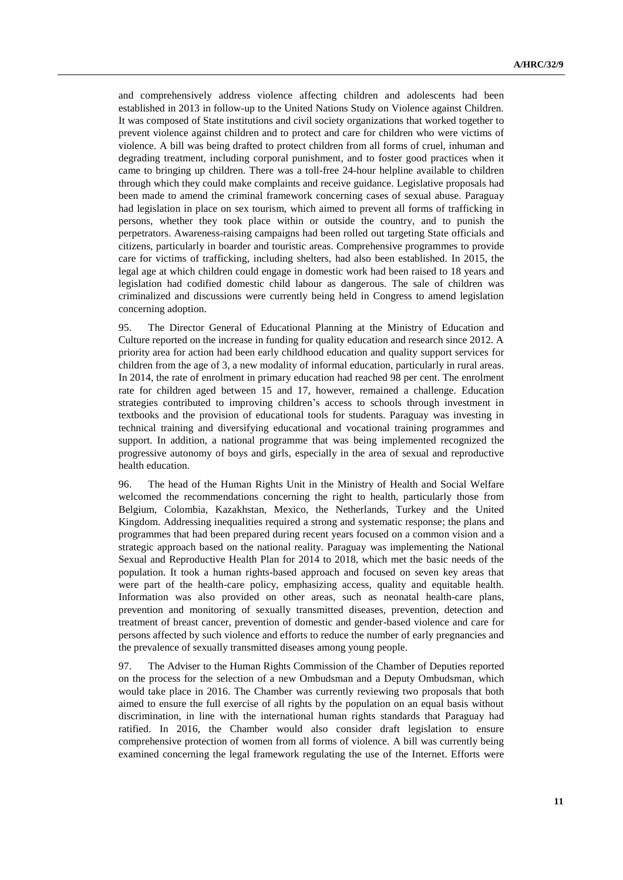and comprehensively address violence affecting children and adolescents had been established in 2013 in follow-up to the United Nations Study on Violence against Children. It was composed of State institutions and civil society organizations that worked together to prevent violence against children and to protect and care for children who were victims of violence. A bill was being drafted to protect children from all forms of cruel, inhuman and degrading treatment, including corporal punishment, and to foster good practices when it came to bringing up children. There was a toll-free 24-hour helpline available to children through which they could make complaints and receive guidance. Legislative proposals had been made to amend the criminal framework concerning cases of sexual abuse. Paraguay had legislation in place on sex tourism, which aimed to prevent all forms of trafficking in persons, whether they took place within or outside the country, and to punish the perpetrators. Awareness-raising campaigns had been rolled out targeting State officials and citizens, particularly in boarder and touristic areas. Comprehensive programmes to provide care for victims of trafficking, including shelters, had also been established. In 2015, the legal age at which children could engage in domestic work had been raised to 18 years and legislation had codified domestic child labour as dangerous. The sale of children was criminalized and discussions were currently being held in Congress to amend legislation concerning adoption.

95. The Director General of Educational Planning at the Ministry of Education and Culture reported on the increase in funding for quality education and research since 2012. A priority area for action had been early childhood education and quality support services for children from the age of 3, a new modality of informal education, particularly in rural areas. In 2014, the rate of enrolment in primary education had reached 98 per cent. The enrolment rate for children aged between 15 and 17, however, remained a challenge. Education strategies contributed to improving children's access to schools through investment in textbooks and the provision of educational tools for students. Paraguay was investing in technical training and diversifying educational and vocational training programmes and support. In addition, a national programme that was being implemented recognized the progressive autonomy of boys and girls, especially in the area of sexual and reproductive health education.

96. The head of the Human Rights Unit in the Ministry of Health and Social Welfare welcomed the recommendations concerning the right to health, particularly those from Belgium, Colombia, Kazakhstan, Mexico, the Netherlands, Turkey and the United Kingdom. Addressing inequalities required a strong and systematic response; the plans and programmes that had been prepared during recent years focused on a common vision and a strategic approach based on the national reality. Paraguay was implementing the National Sexual and Reproductive Health Plan for 2014 to 2018, which met the basic needs of the population. It took a human rights-based approach and focused on seven key areas that were part of the health-care policy, emphasizing access, quality and equitable health. Information was also provided on other areas, such as neonatal health-care plans, prevention and monitoring of sexually transmitted diseases, prevention, detection and treatment of breast cancer, prevention of domestic and gender-based violence and care for persons affected by such violence and efforts to reduce the number of early pregnancies and the prevalence of sexually transmitted diseases among young people.

97. The Adviser to the Human Rights Commission of the Chamber of Deputies reported on the process for the selection of a new Ombudsman and a Deputy Ombudsman, which would take place in 2016. The Chamber was currently reviewing two proposals that both aimed to ensure the full exercise of all rights by the population on an equal basis without discrimination, in line with the international human rights standards that Paraguay had ratified. In 2016, the Chamber would also consider draft legislation to ensure comprehensive protection of women from all forms of violence. A bill was currently being examined concerning the legal framework regulating the use of the Internet. Efforts were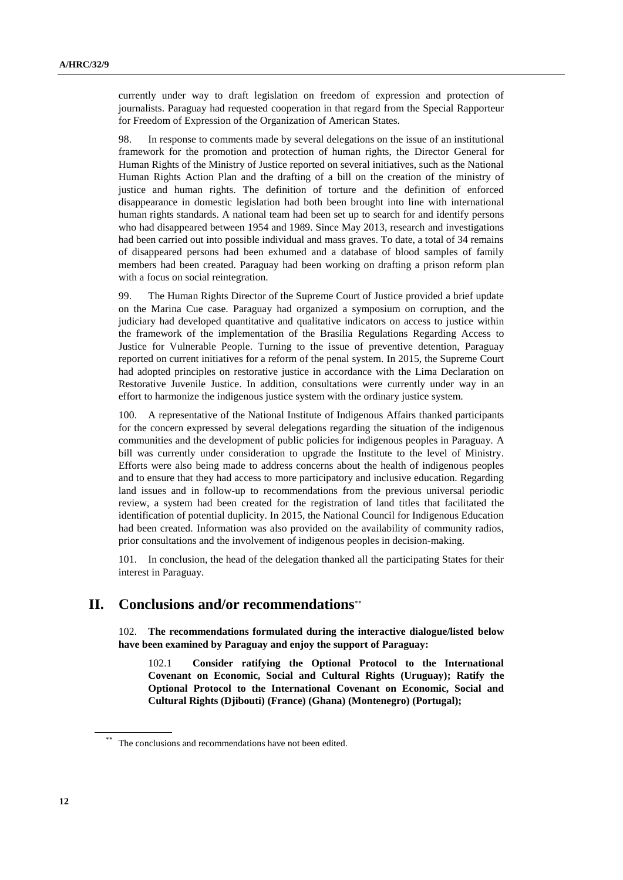currently under way to draft legislation on freedom of expression and protection of journalists. Paraguay had requested cooperation in that regard from the Special Rapporteur for Freedom of Expression of the Organization of American States.

98. In response to comments made by several delegations on the issue of an institutional framework for the promotion and protection of human rights, the Director General for Human Rights of the Ministry of Justice reported on several initiatives, such as the National Human Rights Action Plan and the drafting of a bill on the creation of the ministry of justice and human rights. The definition of torture and the definition of enforced disappearance in domestic legislation had both been brought into line with international human rights standards. A national team had been set up to search for and identify persons who had disappeared between 1954 and 1989. Since May 2013, research and investigations had been carried out into possible individual and mass graves. To date, a total of 34 remains of disappeared persons had been exhumed and a database of blood samples of family members had been created. Paraguay had been working on drafting a prison reform plan with a focus on social reintegration.

99. The Human Rights Director of the Supreme Court of Justice provided a brief update on the Marina Cue case. Paraguay had organized a symposium on corruption, and the judiciary had developed quantitative and qualitative indicators on access to justice within the framework of the implementation of the Brasilia Regulations Regarding Access to Justice for Vulnerable People. Turning to the issue of preventive detention, Paraguay reported on current initiatives for a reform of the penal system. In 2015, the Supreme Court had adopted principles on restorative justice in accordance with the Lima Declaration on Restorative Juvenile Justice. In addition, consultations were currently under way in an effort to harmonize the indigenous justice system with the ordinary justice system.

100. A representative of the National Institute of Indigenous Affairs thanked participants for the concern expressed by several delegations regarding the situation of the indigenous communities and the development of public policies for indigenous peoples in Paraguay. A bill was currently under consideration to upgrade the Institute to the level of Ministry. Efforts were also being made to address concerns about the health of indigenous peoples and to ensure that they had access to more participatory and inclusive education. Regarding land issues and in follow-up to recommendations from the previous universal periodic review, a system had been created for the registration of land titles that facilitated the identification of potential duplicity. In 2015, the National Council for Indigenous Education had been created. Information was also provided on the availability of community radios, prior consultations and the involvement of indigenous peoples in decision-making.

101. In conclusion, the head of the delegation thanked all the participating States for their interest in Paraguay.

### **II. Conclusions and/or recommendations**

102. **The recommendations formulated during the interactive dialogue/listed below have been examined by Paraguay and enjoy the support of Paraguay:**

102.1 **Consider ratifying the Optional Protocol to the International Covenant on Economic, Social and Cultural Rights (Uruguay); Ratify the Optional Protocol to the International Covenant on Economic, Social and Cultural Rights (Djibouti) (France) (Ghana) (Montenegro) (Portugal);**

The conclusions and recommendations have not been edited.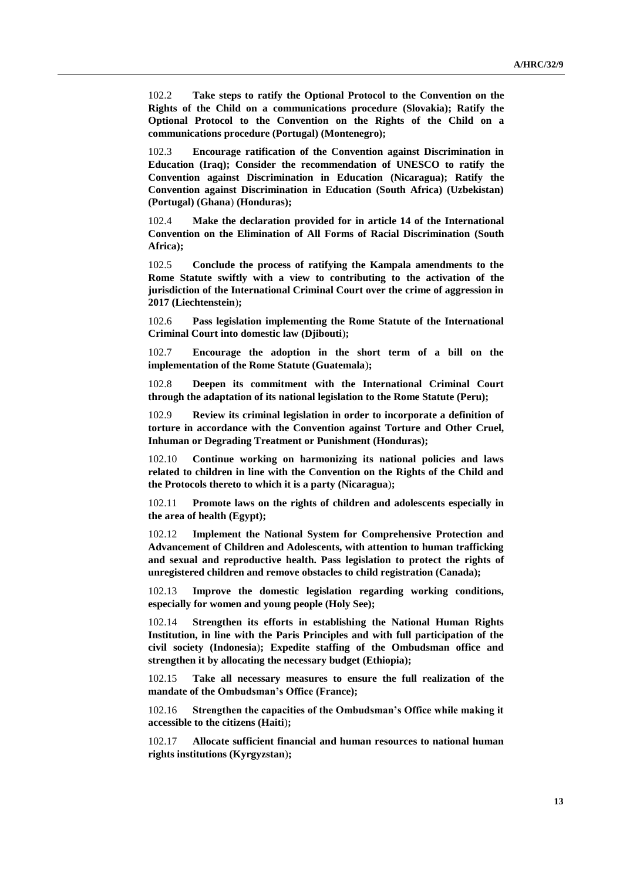102.2 **Take steps to ratify the Optional Protocol to the Convention on the Rights of the Child on a communications procedure (Slovakia); Ratify the Optional Protocol to the Convention on the Rights of the Child on a communications procedure (Portugal) (Montenegro);**

102.3 **Encourage ratification of the Convention against Discrimination in Education (Iraq); Consider the recommendation of UNESCO to ratify the Convention against Discrimination in Education (Nicaragua); Ratify the Convention against Discrimination in Education (South Africa) (Uzbekistan) (Portugal) (Ghana**) **(Honduras);** 

102.4 **Make the declaration provided for in article 14 of the International Convention on the Elimination of All Forms of Racial Discrimination (South Africa);**

102.5 **Conclude the process of ratifying the Kampala amendments to the Rome Statute swiftly with a view to contributing to the activation of the jurisdiction of the International Criminal Court over the crime of aggression in 2017 (Liechtenstein**)**;**

102.6 **Pass legislation implementing the Rome Statute of the International Criminal Court into domestic law (Djibouti**)**;**

102.7 **Encourage the adoption in the short term of a bill on the implementation of the Rome Statute (Guatemala**)**;**

102.8 **Deepen its commitment with the International Criminal Court through the adaptation of its national legislation to the Rome Statute (Peru);**

102.9 **Review its criminal legislation in order to incorporate a definition of torture in accordance with the Convention against Torture and Other Cruel, Inhuman or Degrading Treatment or Punishment (Honduras);**

102.10 **Continue working on harmonizing its national policies and laws related to children in line with the Convention on the Rights of the Child and the Protocols thereto to which it is a party (Nicaragua**)**;**

102.11 **Promote laws on the rights of children and adolescents especially in the area of health (Egypt);**

102.12 **Implement the National System for Comprehensive Protection and Advancement of Children and Adolescents, with attention to human trafficking and sexual and reproductive health. Pass legislation to protect the rights of unregistered children and remove obstacles to child registration (Canada);**

102.13 **Improve the domestic legislation regarding working conditions, especially for women and young people (Holy See);** 

102.14 **Strengthen its efforts in establishing the National Human Rights Institution, in line with the Paris Principles and with full participation of the civil society (Indonesia**)**; Expedite staffing of the Ombudsman office and strengthen it by allocating the necessary budget (Ethiopia);**

102.15 **Take all necessary measures to ensure the full realization of the mandate of the Ombudsman's Office (France);**

102.16 **Strengthen the capacities of the Ombudsman's Office while making it accessible to the citizens (Haiti**)**;**

102.17 **Allocate sufficient financial and human resources to national human rights institutions (Kyrgyzstan**)**;**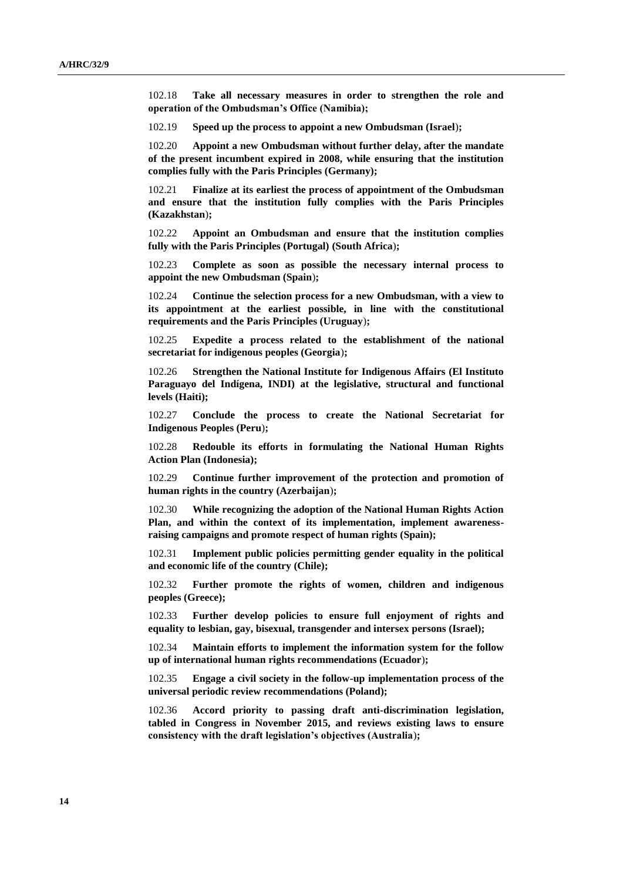102.18 **Take all necessary measures in order to strengthen the role and operation of the Ombudsman's Office (Namibia);**

102.19 **Speed up the process to appoint a new Ombudsman (Israel**)**;** 

102.20 **Appoint a new Ombudsman without further delay, after the mandate of the present incumbent expired in 2008, while ensuring that the institution complies fully with the Paris Principles (Germany);** 

102.21 **Finalize at its earliest the process of appointment of the Ombudsman and ensure that the institution fully complies with the Paris Principles (Kazakhstan**)**;** 

102.22 **Appoint an Ombudsman and ensure that the institution complies fully with the Paris Principles (Portugal) (South Africa**)**;**

102.23 **Complete as soon as possible the necessary internal process to appoint the new Ombudsman (Spain**)**;**

102.24 **Continue the selection process for a new Ombudsman, with a view to its appointment at the earliest possible, in line with the constitutional requirements and the Paris Principles (Uruguay**)**;**

102.25 **Expedite a process related to the establishment of the national secretariat for indigenous peoples (Georgia**)**;** 

102.26 **Strengthen the National Institute for Indigenous Affairs (El Instituto Paraguayo del Indígena, INDI) at the legislative, structural and functional levels (Haiti);** 

102.27 **Conclude the process to create the National Secretariat for Indigenous Peoples (Peru**)**;**

102.28 **Redouble its efforts in formulating the National Human Rights Action Plan (Indonesia);** 

102.29 **Continue further improvement of the protection and promotion of human rights in the country (Azerbaijan**)**;**

102.30 **While recognizing the adoption of the National Human Rights Action Plan, and within the context of its implementation, implement awarenessraising campaigns and promote respect of human rights (Spain);**

102.31 **Implement public policies permitting gender equality in the political and economic life of the country (Chile);**

102.32 **Further promote the rights of women, children and indigenous peoples (Greece);**

102.33 **Further develop policies to ensure full enjoyment of rights and equality to lesbian, gay, bisexual, transgender and intersex persons (Israel);** 

102.34 **Maintain efforts to implement the information system for the follow up of international human rights recommendations (Ecuador**)**;**

102.35 **Engage a civil society in the follow-up implementation process of the universal periodic review recommendations (Poland);**

102.36 **Accord priority to passing draft anti-discrimination legislation, tabled in Congress in November 2015, and reviews existing laws to ensure consistency with the draft legislation's objectives (Australia**)**;**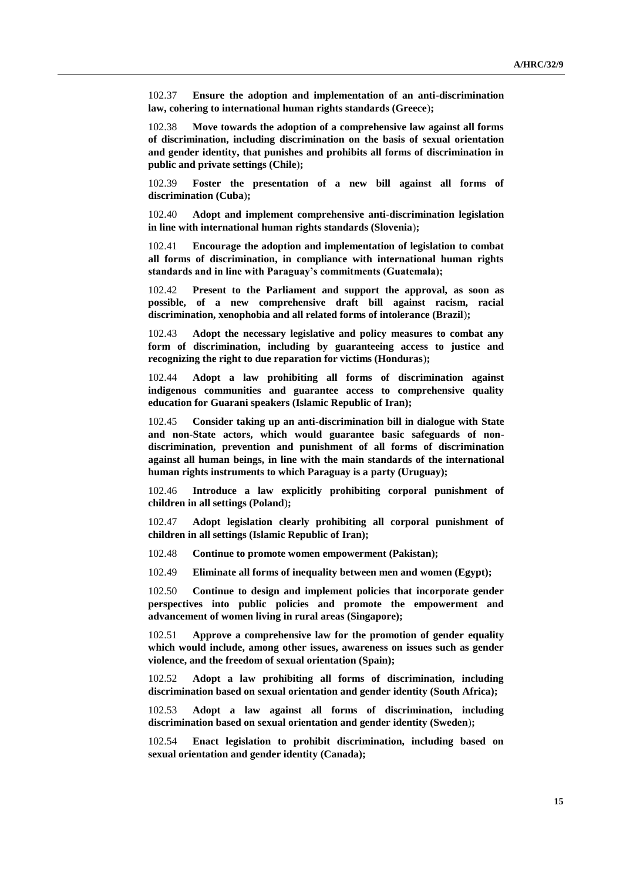102.37 **Ensure the adoption and implementation of an anti-discrimination law, cohering to international human rights standards (Greece**)**;**

102.38 **Move towards the adoption of a comprehensive law against all forms of discrimination, including discrimination on the basis of sexual orientation and gender identity, that punishes and prohibits all forms of discrimination in public and private settings (Chile**)**;**

102.39 **Foster the presentation of a new bill against all forms of discrimination (Cuba**)**;**

102.40 **Adopt and implement comprehensive anti-discrimination legislation in line with international human rights standards (Slovenia**)**;**

102.41 **Encourage the adoption and implementation of legislation to combat all forms of discrimination, in compliance with international human rights standards and in line with Paraguay's commitments (Guatemala);**

102.42 **Present to the Parliament and support the approval, as soon as possible, of a new comprehensive draft bill against racism, racial discrimination, xenophobia and all related forms of intolerance (Brazil**)**;**

102.43 **Adopt the necessary legislative and policy measures to combat any form of discrimination, including by guaranteeing access to justice and recognizing the right to due reparation for victims (Honduras**)**;**

102.44 **Adopt a law prohibiting all forms of discrimination against indigenous communities and guarantee access to comprehensive quality education for Guarani speakers (Islamic Republic of Iran);**

102.45 **Consider taking up an anti-discrimination bill in dialogue with State and non-State actors, which would guarantee basic safeguards of nondiscrimination, prevention and punishment of all forms of discrimination against all human beings, in line with the main standards of the international human rights instruments to which Paraguay is a party (Uruguay);**

102.46 **Introduce a law explicitly prohibiting corporal punishment of children in all settings (Poland**)**;**

102.47 **Adopt legislation clearly prohibiting all corporal punishment of children in all settings (Islamic Republic of Iran);**

102.48 **Continue to promote women empowerment (Pakistan);**

102.49 **Eliminate all forms of inequality between men and women (Egypt);**

102.50 **Continue to design and implement policies that incorporate gender perspectives into public policies and promote the empowerment and advancement of women living in rural areas (Singapore);**

102.51 **Approve a comprehensive law for the promotion of gender equality which would include, among other issues, awareness on issues such as gender violence, and the freedom of sexual orientation (Spain);**

102.52 **Adopt a law prohibiting all forms of discrimination, including discrimination based on sexual orientation and gender identity (South Africa);**

102.53 **Adopt a law against all forms of discrimination, including discrimination based on sexual orientation and gender identity (Sweden**)**;**

102.54 **Enact legislation to prohibit discrimination, including based on sexual orientation and gender identity (Canada);**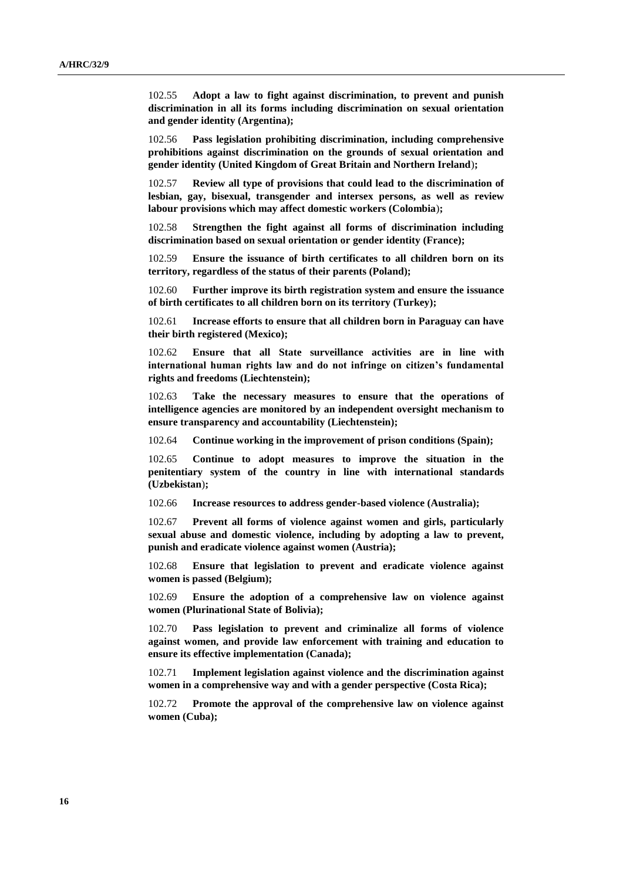102.55 **Adopt a law to fight against discrimination, to prevent and punish discrimination in all its forms including discrimination on sexual orientation and gender identity (Argentina);**

102.56 **Pass legislation prohibiting discrimination, including comprehensive prohibitions against discrimination on the grounds of sexual orientation and gender identity (United Kingdom of Great Britain and Northern Ireland**)**;**

102.57 **Review all type of provisions that could lead to the discrimination of lesbian, gay, bisexual, transgender and intersex persons, as well as review labour provisions which may affect domestic workers (Colombia**)**;**

102.58 **Strengthen the fight against all forms of discrimination including discrimination based on sexual orientation or gender identity (France);**

102.59 **Ensure the issuance of birth certificates to all children born on its territory, regardless of the status of their parents (Poland);**

102.60 **Further improve its birth registration system and ensure the issuance of birth certificates to all children born on its territory (Turkey);**

102.61 **Increase efforts to ensure that all children born in Paraguay can have their birth registered (Mexico);**

102.62 **Ensure that all State surveillance activities are in line with international human rights law and do not infringe on citizen's fundamental rights and freedoms (Liechtenstein);**

102.63 **Take the necessary measures to ensure that the operations of intelligence agencies are monitored by an independent oversight mechanism to ensure transparency and accountability (Liechtenstein);**

102.64 **Continue working in the improvement of prison conditions (Spain);**

102.65 **Continue to adopt measures to improve the situation in the penitentiary system of the country in line with international standards (Uzbekistan**)**;**

102.66 **Increase resources to address gender-based violence (Australia);**

102.67 **Prevent all forms of violence against women and girls, particularly sexual abuse and domestic violence, including by adopting a law to prevent, punish and eradicate violence against women (Austria);**

102.68 **Ensure that legislation to prevent and eradicate violence against women is passed (Belgium);**

102.69 **Ensure the adoption of a comprehensive law on violence against women (Plurinational State of Bolivia);**

102.70 **Pass legislation to prevent and criminalize all forms of violence against women, and provide law enforcement with training and education to ensure its effective implementation (Canada);**

102.71 **Implement legislation against violence and the discrimination against women in a comprehensive way and with a gender perspective (Costa Rica);**

102.72 **Promote the approval of the comprehensive law on violence against women (Cuba);**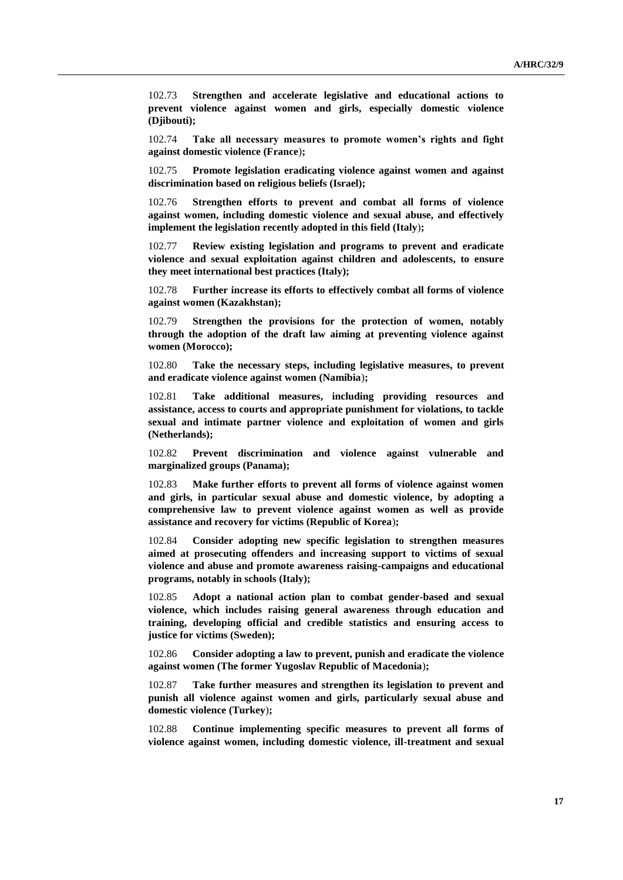102.73 **Strengthen and accelerate legislative and educational actions to prevent violence against women and girls, especially domestic violence (Djibouti);**

102.74 **Take all necessary measures to promote women's rights and fight against domestic violence (France**)**;**

102.75 **Promote legislation eradicating violence against women and against discrimination based on religious beliefs (Israel);** 

102.76 **Strengthen efforts to prevent and combat all forms of violence against women, including domestic violence and sexual abuse, and effectively implement the legislation recently adopted in this field (Italy**)**;**

102.77 **Review existing legislation and programs to prevent and eradicate violence and sexual exploitation against children and adolescents, to ensure they meet international best practices (Italy);** 

102.78 **Further increase its efforts to effectively combat all forms of violence against women (Kazakhstan);** 

102.79 **Strengthen the provisions for the protection of women, notably through the adoption of the draft law aiming at preventing violence against women (Morocco);**

102.80 **Take the necessary steps, including legislative measures, to prevent and eradicate violence against women (Namibia**)**;**

102.81 **Take additional measures, including providing resources and assistance, access to courts and appropriate punishment for violations, to tackle sexual and intimate partner violence and exploitation of women and girls (Netherlands);**

102.82 **Prevent discrimination and violence against vulnerable and marginalized groups (Panama);**

102.83 **Make further efforts to prevent all forms of violence against women and girls, in particular sexual abuse and domestic violence, by adopting a comprehensive law to prevent violence against women as well as provide assistance and recovery for victims (Republic of Korea**)**;** 

102.84 **Consider adopting new specific legislation to strengthen measures aimed at prosecuting offenders and increasing support to victims of sexual violence and abuse and promote awareness raising-campaigns and educational programs, notably in schools (Italy);**

102.85 **Adopt a national action plan to combat gender-based and sexual violence, which includes raising general awareness through education and training, developing official and credible statistics and ensuring access to justice for victims (Sweden);**

102.86 **Consider adopting a law to prevent, punish and eradicate the violence against women (The former Yugoslav Republic of Macedonia**)**;**

102.87 **Take further measures and strengthen its legislation to prevent and punish all violence against women and girls, particularly sexual abuse and domestic violence (Turkey**)**;**

102.88 **Continue implementing specific measures to prevent all forms of violence against women, including domestic violence, ill-treatment and sexual**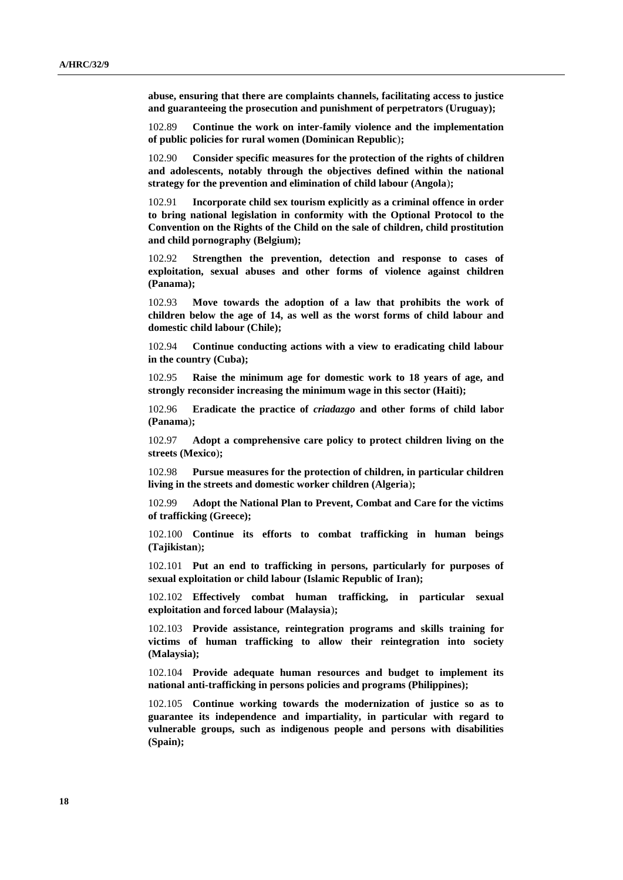**abuse, ensuring that there are complaints channels, facilitating access to justice and guaranteeing the prosecution and punishment of perpetrators (Uruguay);**

102.89 **Continue the work on inter-family violence and the implementation of public policies for rural women (Dominican Republic**)**;**

102.90 **Consider specific measures for the protection of the rights of children and adolescents, notably through the objectives defined within the national strategy for the prevention and elimination of child labour (Angola**)**;**

102.91 **Incorporate child sex tourism explicitly as a criminal offence in order to bring national legislation in conformity with the Optional Protocol to the Convention on the Rights of the Child on the sale of children, child prostitution and child pornography (Belgium);**

102.92 **Strengthen the prevention, detection and response to cases of exploitation, sexual abuses and other forms of violence against children (Panama);**

102.93 **Move towards the adoption of a law that prohibits the work of children below the age of 14, as well as the worst forms of child labour and domestic child labour (Chile);**

102.94 **Continue conducting actions with a view to eradicating child labour in the country (Cuba);**

102.95 **Raise the minimum age for domestic work to 18 years of age, and strongly reconsider increasing the minimum wage in this sector (Haiti);**

102.96 **Eradicate the practice of** *criadazgo* **and other forms of child labor (Panama**)**;**

102.97 **Adopt a comprehensive care policy to protect children living on the streets (Mexico**)**;**

102.98 **Pursue measures for the protection of children, in particular children living in the streets and domestic worker children (Algeria**)**;**

102.99 **Adopt the National Plan to Prevent, Combat and Care for the victims of trafficking (Greece);**

102.100 **Continue its efforts to combat trafficking in human beings (Tajikistan**)**;**

102.101 **Put an end to trafficking in persons, particularly for purposes of sexual exploitation or child labour (Islamic Republic of Iran);** 

102.102 **Effectively combat human trafficking, in particular sexual exploitation and forced labour (Malaysia**)**;**

102.103 **Provide assistance, reintegration programs and skills training for victims of human trafficking to allow their reintegration into society (Malaysia);**

102.104 **Provide adequate human resources and budget to implement its national anti-trafficking in persons policies and programs (Philippines);**

102.105 **Continue working towards the modernization of justice so as to guarantee its independence and impartiality, in particular with regard to vulnerable groups, such as indigenous people and persons with disabilities (Spain);**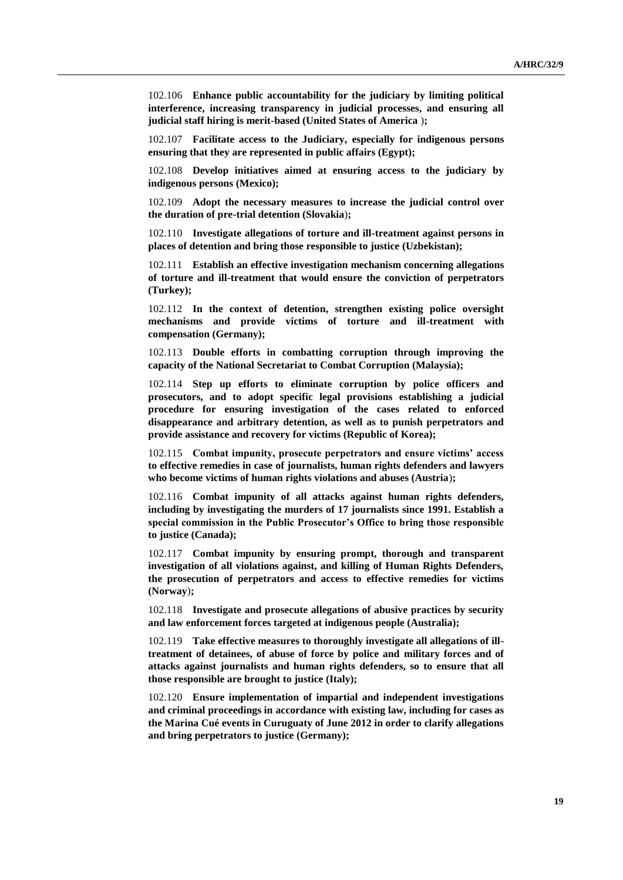102.106 **Enhance public accountability for the judiciary by limiting political interference, increasing transparency in judicial processes, and ensuring all judicial staff hiring is merit-based (United States of America** )**;**

102.107 **Facilitate access to the Judiciary, especially for indigenous persons ensuring that they are represented in public affairs (Egypt);**

102.108 **Develop initiatives aimed at ensuring access to the judiciary by indigenous persons (Mexico);**

102.109 **Adopt the necessary measures to increase the judicial control over the duration of pre-trial detention (Slovakia**)**;**

102.110 **Investigate allegations of torture and ill-treatment against persons in places of detention and bring those responsible to justice (Uzbekistan);**

102.111 **Establish an effective investigation mechanism concerning allegations of torture and ill-treatment that would ensure the conviction of perpetrators (Turkey);**

102.112 **In the context of detention, strengthen existing police oversight mechanisms and provide victims of torture and ill-treatment with compensation (Germany);**

102.113 **Double efforts in combatting corruption through improving the capacity of the National Secretariat to Combat Corruption (Malaysia);**

102.114 **Step up efforts to eliminate corruption by police officers and prosecutors, and to adopt specific legal provisions establishing a judicial procedure for ensuring investigation of the cases related to enforced disappearance and arbitrary detention, as well as to punish perpetrators and provide assistance and recovery for victims (Republic of Korea);** 

102.115 **Combat impunity, prosecute perpetrators and ensure victims' access to effective remedies in case of journalists, human rights defenders and lawyers who become victims of human rights violations and abuses (Austria**)**;**

102.116 **Combat impunity of all attacks against human rights defenders, including by investigating the murders of 17 journalists since 1991. Establish a special commission in the Public Prosecutor's Office to bring those responsible to justice (Canada);** 

102.117 **Combat impunity by ensuring prompt, thorough and transparent investigation of all violations against, and killing of Human Rights Defenders, the prosecution of perpetrators and access to effective remedies for victims (Norway**)**;**

102.118 **Investigate and prosecute allegations of abusive practices by security and law enforcement forces targeted at indigenous people (Australia);**

102.119 **Take effective measures to thoroughly investigate all allegations of illtreatment of detainees, of abuse of force by police and military forces and of attacks against journalists and human rights defenders, so to ensure that all those responsible are brought to justice (Italy);** 

102.120 **Ensure implementation of impartial and independent investigations and criminal proceedings in accordance with existing law, including for cases as the Marina Cué events in Curuguaty of June 2012 in order to clarify allegations and bring perpetrators to justice (Germany);**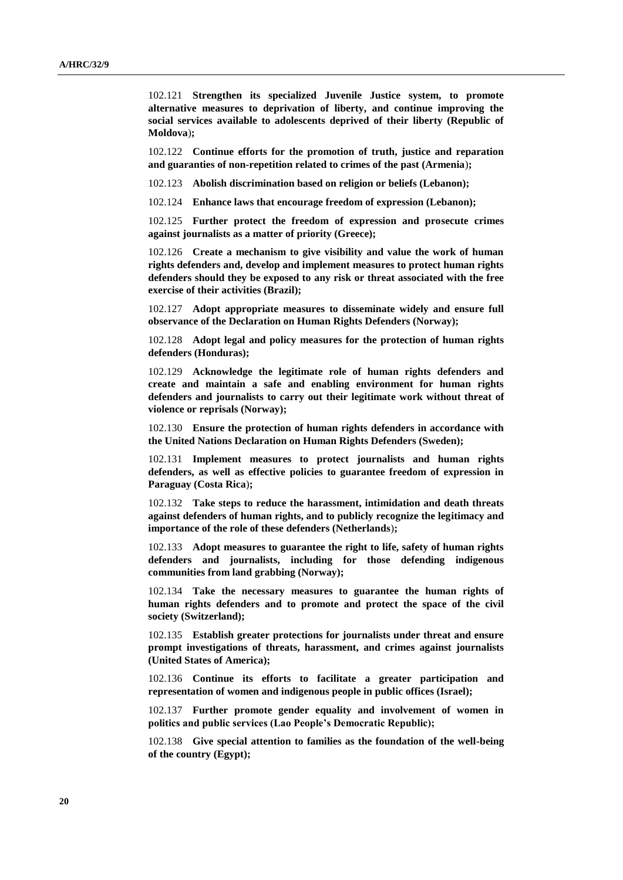102.121 **Strengthen its specialized Juvenile Justice system, to promote alternative measures to deprivation of liberty, and continue improving the social services available to adolescents deprived of their liberty (Republic of Moldova**)**;**

102.122 **Continue efforts for the promotion of truth, justice and reparation and guaranties of non-repetition related to crimes of the past (Armenia**)**;**

102.123 **Abolish discrimination based on religion or beliefs (Lebanon);**

102.124 **Enhance laws that encourage freedom of expression (Lebanon);**

102.125 **Further protect the freedom of expression and prosecute crimes against journalists as a matter of priority (Greece);** 

102.126 **Create a mechanism to give visibility and value the work of human rights defenders and, develop and implement measures to protect human rights defenders should they be exposed to any risk or threat associated with the free exercise of their activities (Brazil);**

102.127 **Adopt appropriate measures to disseminate widely and ensure full observance of the Declaration on Human Rights Defenders (Norway);**

102.128 **Adopt legal and policy measures for the protection of human rights defenders (Honduras);**

102.129 **Acknowledge the legitimate role of human rights defenders and create and maintain a safe and enabling environment for human rights defenders and journalists to carry out their legitimate work without threat of violence or reprisals (Norway);**

102.130 **Ensure the protection of human rights defenders in accordance with the United Nations Declaration on Human Rights Defenders (Sweden);**

102.131 **Implement measures to protect journalists and human rights defenders, as well as effective policies to guarantee freedom of expression in Paraguay (Costa Rica**)**;**

102.132 **Take steps to reduce the harassment, intimidation and death threats against defenders of human rights, and to publicly recognize the legitimacy and importance of the role of these defenders (Netherlands**)**;**

102.133 **Adopt measures to guarantee the right to life, safety of human rights defenders and journalists, including for those defending indigenous communities from land grabbing (Norway);**

102.134 **Take the necessary measures to guarantee the human rights of human rights defenders and to promote and protect the space of the civil society (Switzerland);**

102.135 **Establish greater protections for journalists under threat and ensure prompt investigations of threats, harassment, and crimes against journalists (United States of America);**

102.136 **Continue its efforts to facilitate a greater participation and representation of women and indigenous people in public offices (Israel);** 

102.137 **Further promote gender equality and involvement of women in politics and public services (Lao People's Democratic Republic);**

102.138 **Give special attention to families as the foundation of the well-being of the country (Egypt);**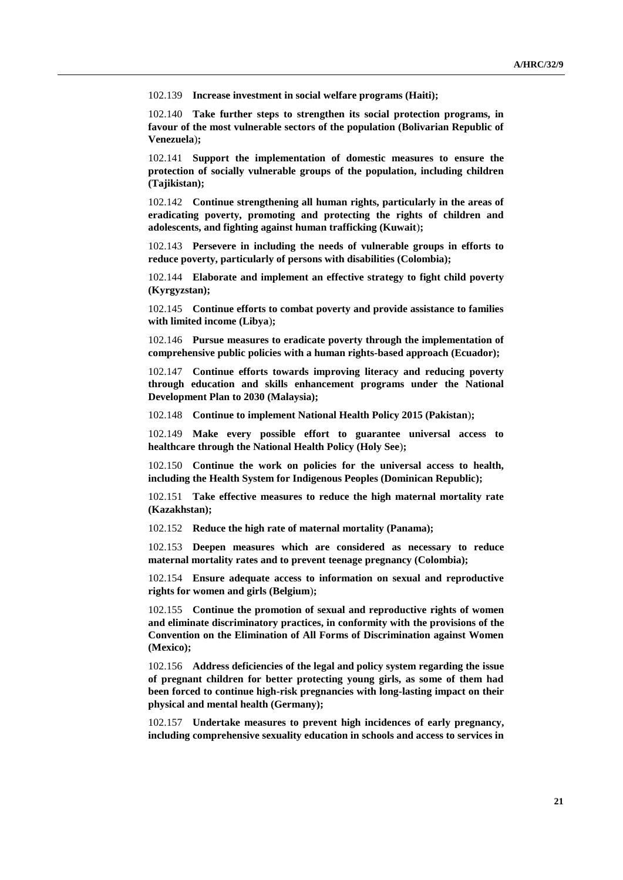102.139 **Increase investment in social welfare programs (Haiti);**

102.140 **Take further steps to strengthen its social protection programs, in favour of the most vulnerable sectors of the population (Bolivarian Republic of Venezuela**)**;**

102.141 **Support the implementation of domestic measures to ensure the protection of socially vulnerable groups of the population, including children (Tajikistan);**

102.142 **Continue strengthening all human rights, particularly in the areas of eradicating poverty, promoting and protecting the rights of children and adolescents, and fighting against human trafficking (Kuwait**)**;**

102.143 **Persevere in including the needs of vulnerable groups in efforts to reduce poverty, particularly of persons with disabilities (Colombia);**

102.144 **Elaborate and implement an effective strategy to fight child poverty (Kyrgyzstan);**

102.145 **Continue efforts to combat poverty and provide assistance to families with limited income (Libya**)**;** 

102.146 **Pursue measures to eradicate poverty through the implementation of comprehensive public policies with a human rights-based approach (Ecuador);**

102.147 **Continue efforts towards improving literacy and reducing poverty through education and skills enhancement programs under the National Development Plan to 2030 (Malaysia);**

102.148 **Continue to implement National Health Policy 2015 (Pakistan**)**;**

102.149 **Make every possible effort to guarantee universal access to healthcare through the National Health Policy (Holy See**)**;**

102.150 **Continue the work on policies for the universal access to health, including the Health System for Indigenous Peoples (Dominican Republic);**

102.151 **Take effective measures to reduce the high maternal mortality rate (Kazakhstan);**

102.152 **Reduce the high rate of maternal mortality (Panama);**

102.153 **Deepen measures which are considered as necessary to reduce maternal mortality rates and to prevent teenage pregnancy (Colombia);**

102.154 **Ensure adequate access to information on sexual and reproductive rights for women and girls (Belgium**)**;**

102.155 **Continue the promotion of sexual and reproductive rights of women and eliminate discriminatory practices, in conformity with the provisions of the Convention on the Elimination of All Forms of Discrimination against Women (Mexico);**

102.156 **Address deficiencies of the legal and policy system regarding the issue of pregnant children for better protecting young girls, as some of them had been forced to continue high-risk pregnancies with long-lasting impact on their physical and mental health (Germany);**

102.157 **Undertake measures to prevent high incidences of early pregnancy, including comprehensive sexuality education in schools and access to services in**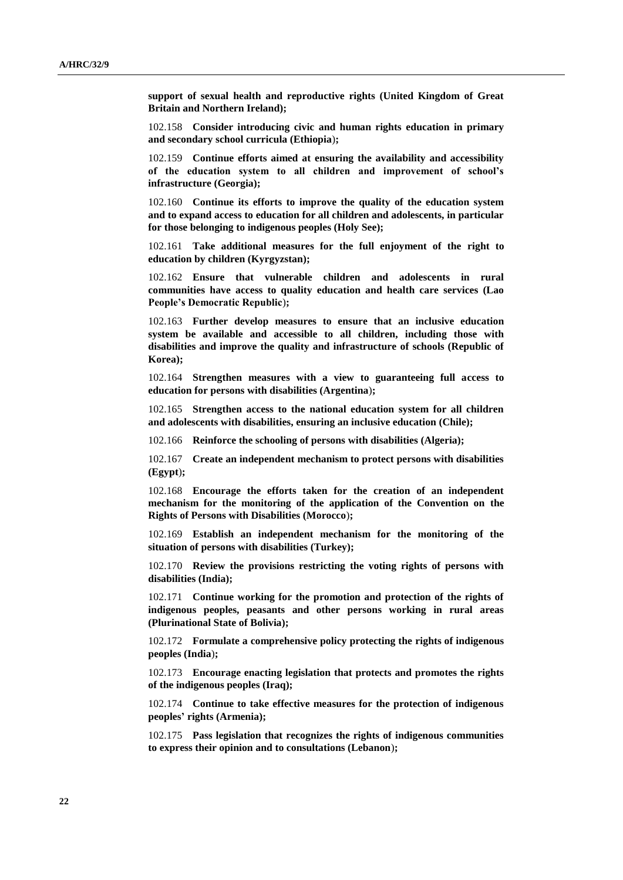**support of sexual health and reproductive rights (United Kingdom of Great Britain and Northern Ireland);**

102.158 **Consider introducing civic and human rights education in primary and secondary school curricula (Ethiopia**)**;**

102.159 **Continue efforts aimed at ensuring the availability and accessibility of the education system to all children and improvement of school's infrastructure (Georgia);**

102.160 **Continue its efforts to improve the quality of the education system and to expand access to education for all children and adolescents, in particular for those belonging to indigenous peoples (Holy See);** 

102.161 **Take additional measures for the full enjoyment of the right to education by children (Kyrgyzstan);**

102.162 **Ensure that vulnerable children and adolescents in rural communities have access to quality education and health care services (Lao People's Democratic Republic**)**;**

102.163 **Further develop measures to ensure that an inclusive education system be available and accessible to all children, including those with disabilities and improve the quality and infrastructure of schools (Republic of Korea);** 

102.164 **Strengthen measures with a view to guaranteeing full access to education for persons with disabilities (Argentina**)**;**

102.165 **Strengthen access to the national education system for all children and adolescents with disabilities, ensuring an inclusive education (Chile);**

102.166 **Reinforce the schooling of persons with disabilities (Algeria);**

102.167 **Create an independent mechanism to protect persons with disabilities (Egypt**)**;**

102.168 **Encourage the efforts taken for the creation of an independent mechanism for the monitoring of the application of the Convention on the Rights of Persons with Disabilities (Morocco**)**;**

102.169 **Establish an independent mechanism for the monitoring of the situation of persons with disabilities (Turkey);**

102.170 **Review the provisions restricting the voting rights of persons with disabilities (India);**

102.171 **Continue working for the promotion and protection of the rights of indigenous peoples, peasants and other persons working in rural areas (Plurinational State of Bolivia);**

102.172 **Formulate a comprehensive policy protecting the rights of indigenous peoples (India**)**;** 

102.173 **Encourage enacting legislation that protects and promotes the rights of the indigenous peoples (Iraq);** 

102.174 **Continue to take effective measures for the protection of indigenous peoples' rights (Armenia);**

102.175 **Pass legislation that recognizes the rights of indigenous communities to express their opinion and to consultations (Lebanon**)**;**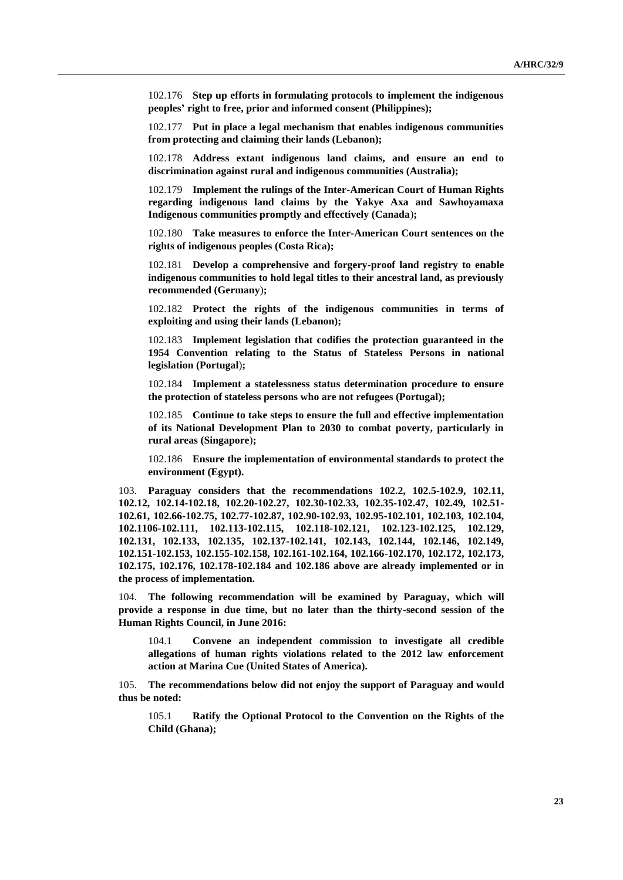102.176 **Step up efforts in formulating protocols to implement the indigenous peoples' right to free, prior and informed consent (Philippines);**

102.177 **Put in place a legal mechanism that enables indigenous communities from protecting and claiming their lands (Lebanon);**

102.178 **Address extant indigenous land claims, and ensure an end to discrimination against rural and indigenous communities (Australia);**

102.179 **Implement the rulings of the Inter-American Court of Human Rights regarding indigenous land claims by the Yakye Axa and Sawhoyamaxa Indigenous communities promptly and effectively (Canada**)**;**

102.180 **Take measures to enforce the Inter-American Court sentences on the rights of indigenous peoples (Costa Rica);**

102.181 **Develop a comprehensive and forgery-proof land registry to enable indigenous communities to hold legal titles to their ancestral land, as previously recommended (Germany**)**;**

102.182 **Protect the rights of the indigenous communities in terms of exploiting and using their lands (Lebanon);**

102.183 **Implement legislation that codifies the protection guaranteed in the 1954 Convention relating to the Status of Stateless Persons in national legislation (Portugal**)**;**

102.184 **Implement a statelessness status determination procedure to ensure the protection of stateless persons who are not refugees (Portugal);**

102.185 **Continue to take steps to ensure the full and effective implementation of its National Development Plan to 2030 to combat poverty, particularly in rural areas (Singapore**)**;**

102.186 **Ensure the implementation of environmental standards to protect the environment (Egypt).**

103. **Paraguay considers that the recommendations 102.2, 102.5-102.9, 102.11, 102.12, 102.14-102.18, 102.20-102.27, 102.30-102.33, 102.35-102.47, 102.49, 102.51- 102.61, 102.66-102.75, 102.77-102.87, 102.90-102.93, 102.95-102.101, 102.103, 102.104, 102.1106-102.111, 102.113-102.115, 102.118-102.121, 102.123-102.125, 102.129, 102.131, 102.133, 102.135, 102.137-102.141, 102.143, 102.144, 102.146, 102.149, 102.151-102.153, 102.155-102.158, 102.161-102.164, 102.166-102.170, 102.172, 102.173, 102.175, 102.176, 102.178-102.184 and 102.186 above are already implemented or in the process of implementation.**

104. **The following recommendation will be examined by Paraguay, which will provide a response in due time, but no later than the thirty-second session of the Human Rights Council, in June 2016:**

104.1 **Convene an independent commission to investigate all credible allegations of human rights violations related to the 2012 law enforcement action at Marina Cue (United States of America).**

105. **The recommendations below did not enjoy the support of Paraguay and would thus be noted:**

105.1 **Ratify the Optional Protocol to the Convention on the Rights of the Child (Ghana);**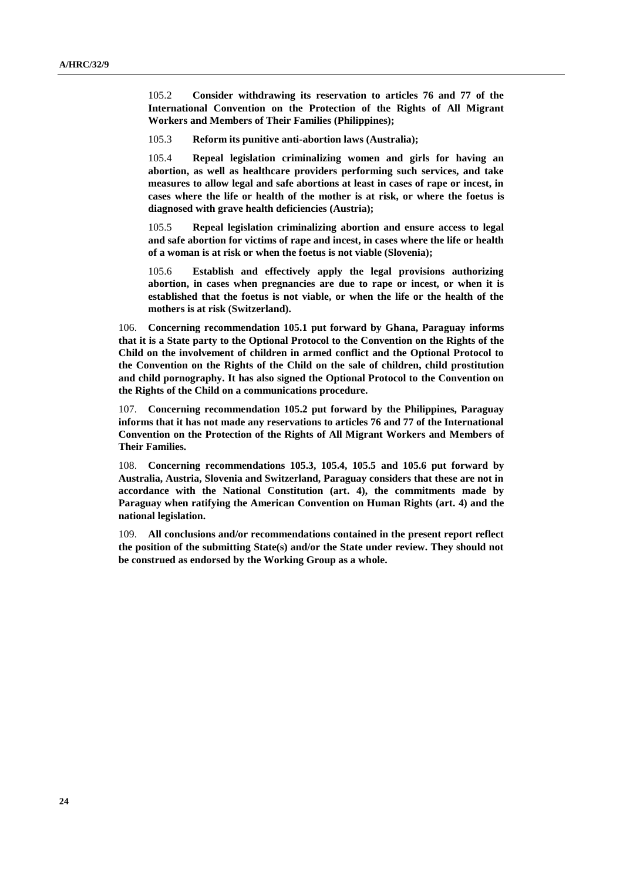105.2 **Consider withdrawing its reservation to articles 76 and 77 of the International Convention on the Protection of the Rights of All Migrant Workers and Members of Their Families (Philippines);**

105.3 **Reform its punitive anti-abortion laws (Australia);**

105.4 **Repeal legislation criminalizing women and girls for having an abortion, as well as healthcare providers performing such services, and take measures to allow legal and safe abortions at least in cases of rape or incest, in cases where the life or health of the mother is at risk, or where the foetus is diagnosed with grave health deficiencies (Austria);**

105.5 **Repeal legislation criminalizing abortion and ensure access to legal and safe abortion for victims of rape and incest, in cases where the life or health of a woman is at risk or when the foetus is not viable (Slovenia);**

105.6 **Establish and effectively apply the legal provisions authorizing abortion, in cases when pregnancies are due to rape or incest, or when it is established that the foetus is not viable, or when the life or the health of the mothers is at risk (Switzerland).**

106. **Concerning recommendation 105.1 put forward by Ghana, Paraguay informs that it is a State party to the Optional Protocol to the Convention on the Rights of the Child on the involvement of children in armed conflict and the Optional Protocol to the Convention on the Rights of the Child on the sale of children, child prostitution and child pornography. It has also signed the Optional Protocol to the Convention on the Rights of the Child on a communications procedure.**

107. **Concerning recommendation 105.2 put forward by the Philippines, Paraguay informs that it has not made any reservations to articles 76 and 77 of the International Convention on the Protection of the Rights of All Migrant Workers and Members of Their Families.**

108. **Concerning recommendations 105.3, 105.4, 105.5 and 105.6 put forward by Australia, Austria, Slovenia and Switzerland, Paraguay considers that these are not in accordance with the National Constitution (art. 4), the commitments made by Paraguay when ratifying the American Convention on Human Rights (art. 4) and the national legislation.**

109. **All conclusions and/or recommendations contained in the present report reflect the position of the submitting State(s) and/or the State under review. They should not be construed as endorsed by the Working Group as a whole.**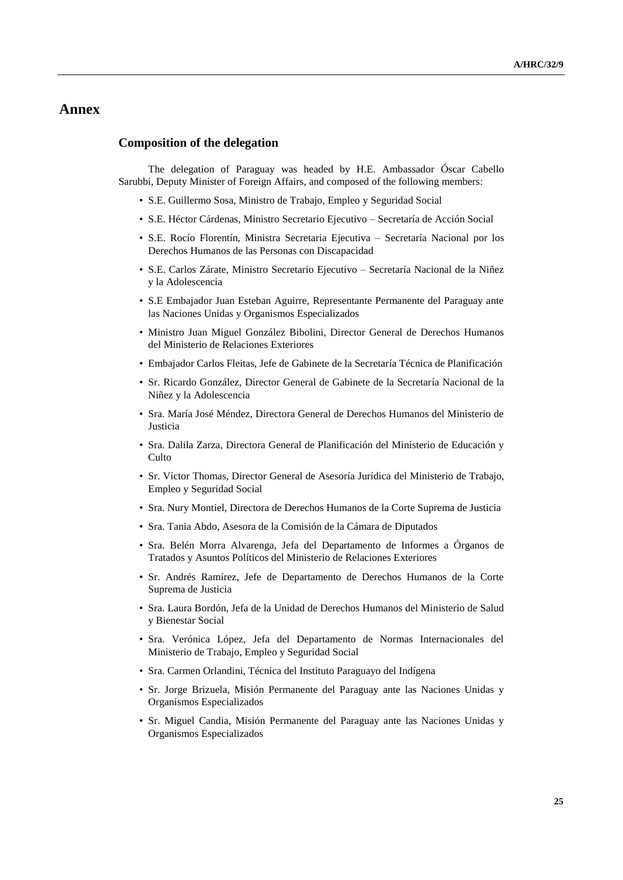## **Annex**

#### **Composition of the delegation**

The delegation of Paraguay was headed by H.E. Ambassador Óscar Cabello Sarubbi, Deputy Minister of Foreign Affairs, and composed of the following members:

- S.E. Guillermo Sosa, Ministro de Trabajo, Empleo y Seguridad Social
- S.E. Héctor Cárdenas, Ministro Secretario Ejecutivo Secretaría de Acción Social
- S.E. Rocío Florentín, Ministra Secretaria Ejecutiva Secretaría Nacional por los Derechos Humanos de las Personas con Discapacidad
- S.E. Carlos Zárate, Ministro Secretario Ejecutivo Secretaría Nacional de la Niñez y la Adolescencia
- S.E Embajador Juan Esteban Aguirre, Representante Permanente del Paraguay ante las Naciones Unidas y Organismos Especializados
- Ministro Juan Miguel González Bibolini, Director General de Derechos Humanos del Ministerio de Relaciones Exteriores
- Embajador Carlos Fleitas, Jefe de Gabinete de la Secretaría Técnica de Planificación
- Sr. Ricardo González, Director General de Gabinete de la Secretaría Nacional de la Niñez y la Adolescencia
- Sra. María José Méndez, Directora General de Derechos Humanos del Ministerio de Justicia
- Sra. Dalila Zarza, Directora General de Planificación del Ministerio de Educación y Culto
- Sr. Víctor Thomas, Director General de Asesoría Jurídica del Ministerio de Trabajo, Empleo y Seguridad Social
- Sra. Nury Montiel, Directora de Derechos Humanos de la Corte Suprema de Justicia
- Sra. Tania Abdo, Asesora de la Comisión de la Cámara de Diputados
- Sra. Belén Morra Alvarenga, Jefa del Departamento de Informes a Órganos de Tratados y Asuntos Políticos del Ministerio de Relaciones Exteriores
- Sr. Andrés Ramírez, Jefe de Departamento de Derechos Humanos de la Corte Suprema de Justicia
- Sra. Laura Bordón, Jefa de la Unidad de Derechos Humanos del Ministerio de Salud y Bienestar Social
- Sra. Verónica López, Jefa del Departamento de Normas Internacionales del Ministerio de Trabajo, Empleo y Seguridad Social
- Sra. Carmen Orlandini, Técnica del Instituto Paraguayo del Indígena
- Sr. Jorge Brizuela, Misión Permanente del Paraguay ante las Naciones Unidas y Organismos Especializados
- Sr. Miguel Candia, Misión Permanente del Paraguay ante las Naciones Unidas y Organismos Especializados